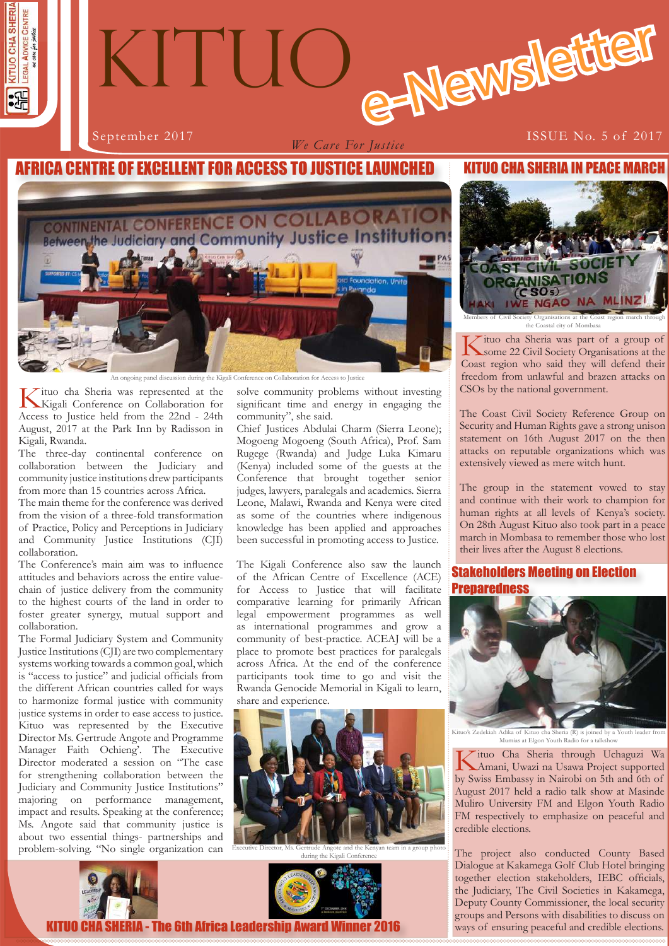

*We Care For Justice*

# September 2017 **ISSUE No. 5 of 2017**

# CA CENTRE OF EXCELLENT FOR ACCESS TO JUSTICE LAUNCHED



An ongoing panel discussion during the Kigali Conference on Collaboration for Access to Justice

Kituo cha Sheria was represented at the Kigali Conference on Collaboration for Access to Justice held from the 22nd - 24th August, 2017 at the Park Inn by Radisson in Kigali, Rwanda.

The three-day continental conference on collaboration between the Judiciary and community justice institutions drew participants from more than 15 countries across Africa.

The main theme for the conference was derived from the vision of a three-fold transformation of Practice, Policy and Perceptions in Judiciary and Community Justice Institutions (CJI) collaboration.

The Conference's main aim was to influence attitudes and behaviors across the entire valuechain of justice delivery from the community to the highest courts of the land in order to foster greater synergy, mutual support and collaboration.

The Formal Judiciary System and Community Justice Institutions (CJI) are two complementary systems working towards a common goal, which is "access to justice" and judicial officials from the different African countries called for ways to harmonize formal justice with community justice systems in order to ease access to justice. Kituo was represented by the Executive Director Ms. Gertrude Angote and Programme Manager Faith Ochieng'. The Executive Director moderated a session on "The case for strengthening collaboration between the Judiciary and Community Justice Institutions" majoring on performance management, impact and results. Speaking at the conference; Ms. Angote said that community justice is about two essential things- partnerships and problem-solving. "No single organization can

solve community problems without investing significant time and energy in engaging the community", she said.

Chief Justices Abdulai Charm (Sierra Leone); Mogoeng Mogoeng (South Africa), Prof. Sam Rugege (Rwanda) and Judge Luka Kimaru (Kenya) included some of the guests at the Conference that brought together senior judges, lawyers, paralegals and academics. Sierra Leone, Malawi, Rwanda and Kenya were cited as some of the countries where indigenous knowledge has been applied and approaches been successful in promoting access to Justice.

The Kigali Conference also saw the launch of the African Centre of Excellence (ACE) for Access to Justice that will facilitate comparative learning for primarily African legal empowerment programmes as well as international programmes and grow a community of best-practice. ACEAJ will be a place to promote best practices for paralegals across Africa. At the end of the conference participants took time to go and visit the Rwanda Genocide Memorial in Kigali to learn, share and experience.



Executive Director, Ms. Gertrude Angote and the Kenyan team in a group photo during the Kigali Conference









Members of Civil Society Organisations at the Coast region march through the Coastal city of Mombasa

Kituo cha Sheria was part of a group of Society Organisations at the Coast region who said they will defend their freedom from unlawful and brazen attacks on CSOs by the national government.

The Coast Civil Society Reference Group on Security and Human Rights gave a strong unison statement on 16th August 2017 on the then attacks on reputable organizations which was extensively viewed as mere witch hunt.

The group in the statement vowed to stay and continue with their work to champion for human rights at all levels of Kenya's society. On 28th August Kituo also took part in a peace march in Mombasa to remember those who lost their lives after the August 8 elections.

## Stakeholders Meeting on Election **Prenaredness**



Kituo's Zedekiah Adika of Kituo cha Sheria (R) is joined by a Youth leader from Mumias at Elgon Youth Radio for a talkshow

 $\tau$ ituo Cha Sheria through Uchaguzi Wa Amani, Uwazi na Usawa Project supported by Swiss Embassy in Nairobi on 5th and 6th of August 2017 held a radio talk show at Masinde Muliro University FM and Elgon Youth Radio FM respectively to emphasize on peaceful and credible elections.

**1 1** ways of ensuring peaceful and credible elections. The project also conducted County Based Dialogue at Kakamega Golf Club Hotel bringing together election stakeholders, IEBC officials, the Judiciary, The Civil Societies in Kakamega, Deputy County Commissioner, the local security groups and Persons with disabilities to discuss on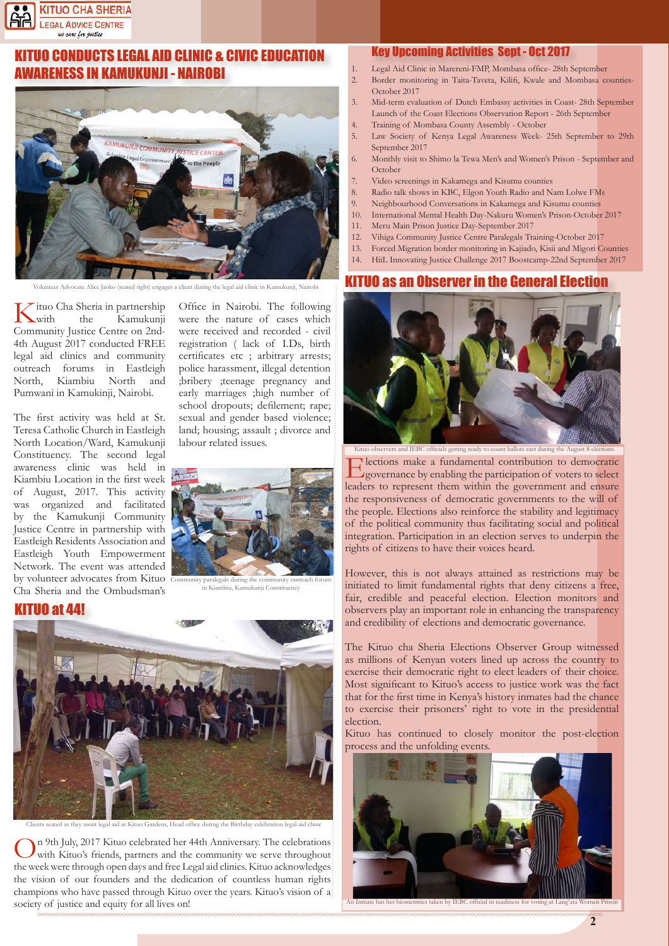

## UO CONDUCTS LEGAL AID CLINIC & CIVIC EDUCATION AWARENESS IN KAMUKUNJI - NAIROBI



Volunteer Advocate Alice Jaoko (seated right) engages a client during the legal aid clinic in Kamukunji, Nairobi

 $\nabla$ ituo Cha Sheria in partnership<br>with the Kamukunii Kamukunii Community Justice Centre on 2nd-4th August 2017 conducted FREE legal aid clinics and community outreach forums in Eastleigh North, Kiambiu North and Pumwani in Kamukinji, Nairobi.

The first activity was held at St. Teresa Catholic Church in Eastleigh North Location/Ward, Kamukunji Constituency. The second legal awareness clinic was held in Kiambiu Location in the first week of August, 2017. This activity was organized and facilitated by the Kamukunji Community Justice Centre in partnership with Eastleigh Residents Association and Eastleigh Youth Empowerment Network. The event was attended by volunteer advocates from Kituo Cha Sheria and the Ombudsman's

Office in Nairobi. The following were the nature of cases which were received and recorded - civil registration ( lack of I.Ds, birth certificates etc ; arbitrary arrests; police harassment, illegal detention ;bribery ;teenage pregnancy and early marriages ;high number of school dropouts; defilement; rape; sexual and gender based violence; land; housing; assault ; divorce and labour related issues.



in Kiambiu, Kamukunji Constituency





Clients seated as they await legal aid at Kituo Gardens, Head office during the Birthday celebration legal aid clinic

In 9th July, 2017 Kituo celebrated her 44th Anniversary. The celebrations with Kituo's friends, partners and the community we serve throughout the week were through open days and free Legal aid clinics. Kituo acknowledges the vision of our founders and the dedication of countless human rights champions who have passed through Kituo over the years. Kituo's vision of a society of justice and equity for all lives on!

#### Key Upcoming Activities Sept - Oct 2017

- 1. Legal Aid Clinic in Marereni-FMP, Mombasa office- 28th September<br>2. Border monitoring in Taita-Taveta. Kilifi. Kwale and Mombasa co
- 2. Border monitoring in Taita-Taveta, Kilifi, Kwale and Mombasa counties-October 2017
- 3. Mid-term evaluation of Dutch Embassy activities in Coast- 28th September Launch of the Coast Elections Observation Report - 26th September
- 4. Training of Mombasa County Assembly October
- 5. Law Society of Kenya Legal Awareness Week- 25th September to 29th September 2017
- 6. Monthly visit to Shimo la Tewa Men's and Women's Prison September and October
- 7. Video screenings in Kakamega and Kisumu counties
- 8. Radio talk shows in KBC, Elgon Youth Radio and Nam Lolwe FMs
- 9. Neighbourhood Conversations in Kakamega and Kisumu counties
- 10. International Mental Health Day-Nakuru Women's Prison-October 2017
- 11. Meru Main Prison Justice Day-September 2017
- 12. Vihiga Community Justice Centre Paralegals Training-October 2017
- 13. Forced Migration border monitoring in Kajiado, Kisii and Migori Counties
- 14. HiiL Innovating Justice Challenge 2017 Boostcamp-22nd September 2017

#### IO as an Observer in the General Election



Kituo observers and IEBC officials getting ready to count ballots cast during the August 8 elections Elections make a fundamental contribution to democratic governance by enabling the participation of voters to select leaders to represent them within the government and ensure the responsiveness of democratic governments to the will of the people. Elections also reinforce the stability and legitimacy of the political community thus facilitating social and political

integration. Participation in an election serves to underpin the

rights of citizens to have their voices heard.

However, this is not always attained as restrictions may be initiated to limit fundamental rights that deny citizens a free, fair, credible and peaceful election. Election monitors and observers play an important role in enhancing the transparency and credibility of elections and democratic governance.

The Kituo cha Sheria Elections Observer Group witnessed as millions of Kenyan voters lined up across the country to exercise their democratic right to elect leaders of their choice. Most significant to Kituo's access to justice work was the fact that for the first time in Kenya's history inmates had the chance to exercise their prisoners' right to vote in the presidential election.

Kituo has continued to closely monitor the post-election process and the unfolding events.



**2**